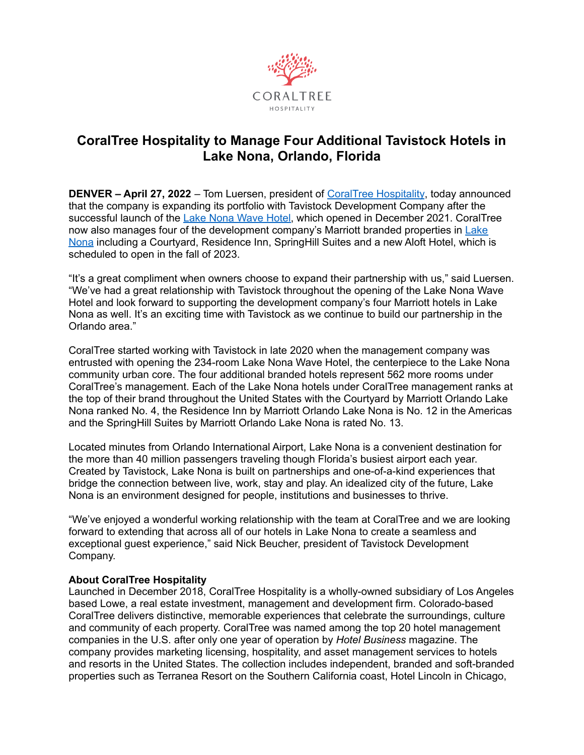

## **CoralTree Hospitality to Manage Four Additional Tavistock Hotels in Lake Nona, Orlando, Florida**

**DENVER – April 27, 2022** – Tom Luersen, president of CoralTree [Hospitality](https://www.coraltreehospitality.com/), today announced that the company is expanding its portfolio with Tavistock Development Company after the successful launch of the Lake Nona [Wave](https://www.lakenonawavehotel.com/) Hotel, which opened in December 2021. CoralTree now also manages four of the development company's Marriott branded properties in [Lake](https://www.lakenona.com/) [Nona](https://www.lakenona.com/) including a Courtyard, Residence Inn, SpringHill Suites and a new Aloft Hotel, which is scheduled to open in the fall of 2023.

"It's a great compliment when owners choose to expand their partnership with us," said Luersen. "We've had a great relationship with Tavistock throughout the opening of the Lake Nona Wave Hotel and look forward to supporting the development company's four Marriott hotels in Lake Nona as well. It's an exciting time with Tavistock as we continue to build our partnership in the Orlando area."

CoralTree started working with Tavistock in late 2020 when the management company was entrusted with opening the 234-room Lake Nona Wave Hotel, the centerpiece to the Lake Nona community urban core. The four additional branded hotels represent 562 more rooms under CoralTree's management. Each of the Lake Nona hotels under CoralTree management ranks at the top of their brand throughout the United States with the Courtyard by Marriott Orlando Lake Nona ranked No. 4, the Residence Inn by Marriott Orlando Lake Nona is No. 12 in the Americas and the SpringHill Suites by Marriott Orlando Lake Nona is rated No. 13.

Located minutes from Orlando International Airport, Lake Nona is a convenient destination for the more than 40 million passengers traveling though Florida's busiest airport each year. Created by Tavistock, Lake Nona is built on partnerships and one-of-a-kind experiences that bridge the connection between live, work, stay and play. An idealized city of the future, Lake Nona is an environment designed for people, institutions and businesses to thrive.

"We've enjoyed a wonderful working relationship with the team at CoralTree and we are looking forward to extending that across all of our hotels in Lake Nona to create a seamless and exceptional guest experience," said Nick Beucher, president of Tavistock Development Company.

## **About CoralTree Hospitality**

Launched in December 2018, CoralTree Hospitality is a wholly-owned subsidiary of Los Angeles based Lowe, a real estate investment, management and development firm. Colorado-based CoralTree delivers distinctive, memorable experiences that celebrate the surroundings, culture and community of each property. CoralTree was named among the top 20 hotel management companies in the U.S. after only one year of operation by *Hotel Business* magazine. The company provides marketing licensing, hospitality, and asset management services to hotels and resorts in the United States. The collection includes independent, branded and soft-branded properties such as Terranea Resort on the Southern California coast, Hotel Lincoln in Chicago,